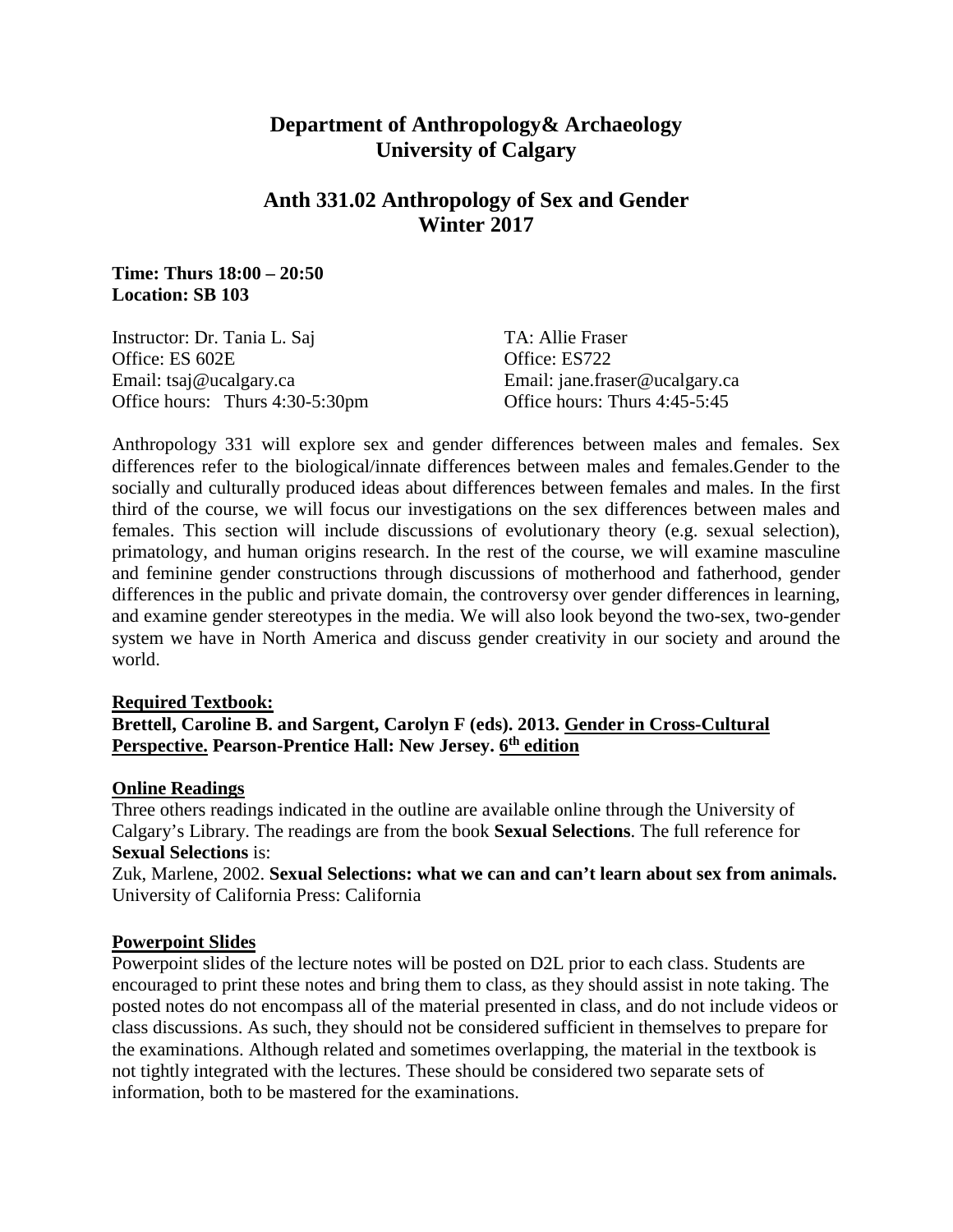# **Department of Anthropology& Archaeology University of Calgary**

# **Anth 331.02 Anthropology of Sex and Gender Winter 2017**

### **Time: Thurs 18:00 – 20:50 Location: SB 103**

| TA: Allie Fraser               |
|--------------------------------|
| Office: ES722                  |
| Email: jane.fraser@ucalgary.ca |
| Office hours: Thurs 4:45-5:45  |
|                                |

Anthropology 331 will explore sex and gender differences between males and females. Sex differences refer to the biological/innate differences between males and females.Gender to the socially and culturally produced ideas about differences between females and males. In the first third of the course, we will focus our investigations on the sex differences between males and females. This section will include discussions of evolutionary theory (e.g. sexual selection), primatology, and human origins research. In the rest of the course, we will examine masculine and feminine gender constructions through discussions of motherhood and fatherhood, gender differences in the public and private domain, the controversy over gender differences in learning, and examine gender stereotypes in the media. We will also look beyond the two-sex, two-gender system we have in North America and discuss gender creativity in our society and around the world.

#### **Required Textbook:**

## **Brettell, Caroline B. and Sargent, Carolyn F (eds). 2013. Gender in Cross-Cultural Perspective. Pearson-Prentice Hall: New Jersey. 6th edition**

#### **Online Readings**

Three others readings indicated in the outline are available online through the University of Calgary's Library. The readings are from the book **Sexual Selections**. The full reference for **Sexual Selections** is:

Zuk, Marlene, 2002. **Sexual Selections: what we can and can't learn about sex from animals.** University of California Press: California

#### **Powerpoint Slides**

Powerpoint slides of the lecture notes will be posted on D2L prior to each class. Students are encouraged to print these notes and bring them to class, as they should assist in note taking. The posted notes do not encompass all of the material presented in class, and do not include videos or class discussions. As such, they should not be considered sufficient in themselves to prepare for the examinations. Although related and sometimes overlapping, the material in the textbook is not tightly integrated with the lectures. These should be considered two separate sets of information, both to be mastered for the examinations.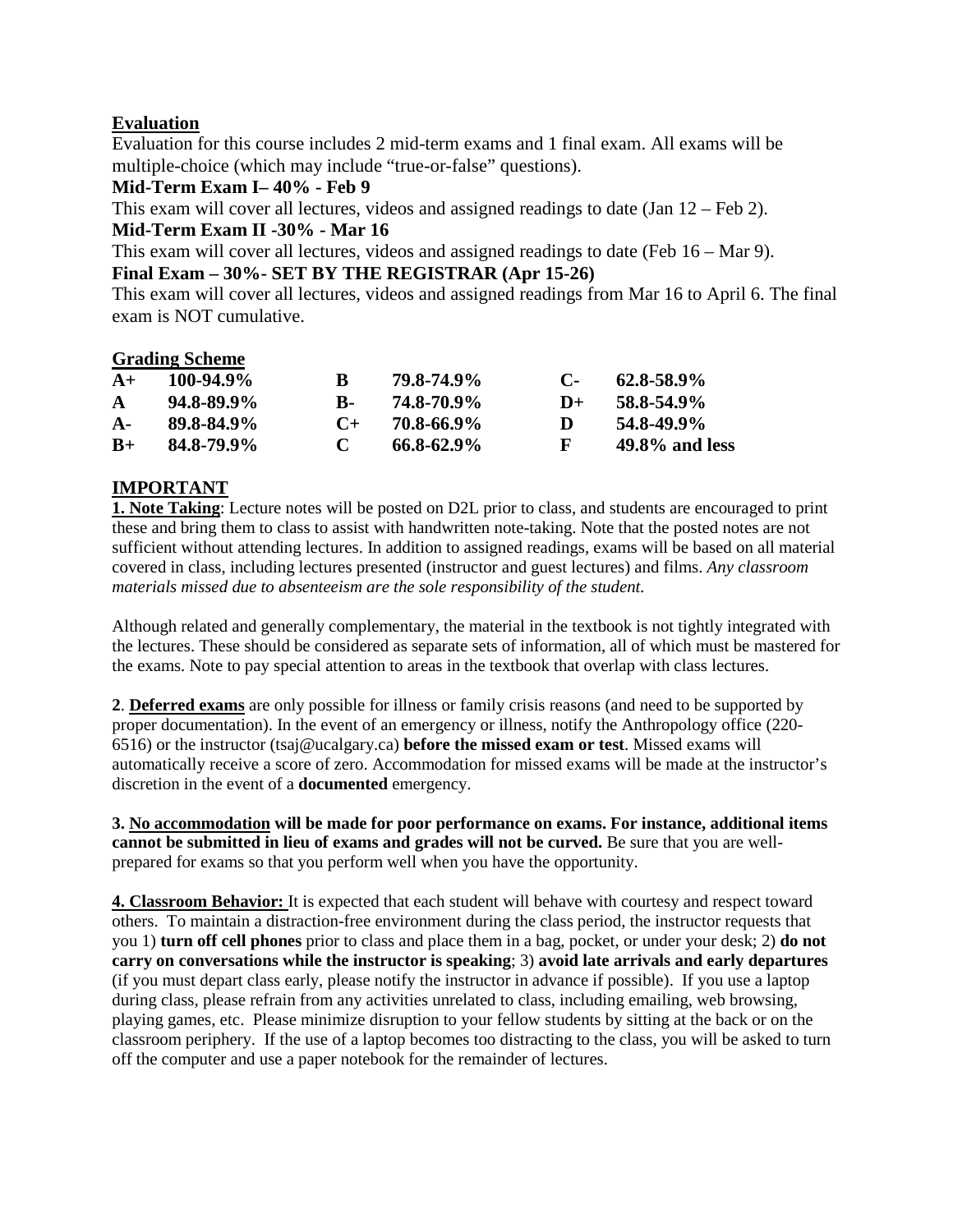# **Evaluation**

Evaluation for this course includes 2 mid-term exams and 1 final exam. All exams will be multiple-choice (which may include "true-or-false" questions).

### **Mid-Term Exam I– 40% - Feb 9**

This exam will cover all lectures, videos and assigned readings to date (Jan 12 – Feb 2).

## **Mid-Term Exam II -30% - Mar 16**

This exam will cover all lectures, videos and assigned readings to date (Feb 16 – Mar 9).

## **Final Exam – 30%- SET BY THE REGISTRAR (Apr 15-26)**

This exam will cover all lectures, videos and assigned readings from Mar 16 to April 6. The final exam is NOT cumulative.

#### **Grading Scheme**

| $A+$         | $100 - 94.9\%$  | B.             | 79.8-74.9%      | $\mathbf{C}$ | $62.8 - 58.9\%$   |
|--------------|-----------------|----------------|-----------------|--------------|-------------------|
| $\mathbf{A}$ | $94.8 - 89.9\%$ | к.             | 74.8-70.9%      | $1+$         | 58.8-54.9%        |
| $A -$        | 89.8-84.9%      | $\mathbf{C} +$ | 70.8-66.9%      | Ð            | 54.8-49.9%        |
| $B+$         | 84.8-79.9%      | $\mathbf{C}$   | $66.8 - 62.9\%$ | $\mathbf{F}$ | $49.8\%$ and less |

# **IMPORTANT**

**1. Note Taking**: Lecture notes will be posted on D2L prior to class, and students are encouraged to print these and bring them to class to assist with handwritten note-taking. Note that the posted notes are not sufficient without attending lectures. In addition to assigned readings, exams will be based on all material covered in class, including lectures presented (instructor and guest lectures) and films. *Any classroom materials missed due to absenteeism are the sole responsibility of the student.*

Although related and generally complementary, the material in the textbook is not tightly integrated with the lectures. These should be considered as separate sets of information, all of which must be mastered for the exams. Note to pay special attention to areas in the textbook that overlap with class lectures.

**2**. **Deferred exams** are only possible for illness or family crisis reasons (and need to be supported by proper documentation). In the event of an emergency or illness, notify the Anthropology office (220- 6516) or the instructor (tsaj@ucalgary.ca) **before the missed exam or test**. Missed exams will automatically receive a score of zero. Accommodation for missed exams will be made at the instructor's discretion in the event of a **documented** emergency.

**3. No accommodation will be made for poor performance on exams. For instance, additional items cannot be submitted in lieu of exams and grades will not be curved.** Be sure that you are wellprepared for exams so that you perform well when you have the opportunity.

**4. Classroom Behavior:** It is expected that each student will behave with courtesy and respect toward others. To maintain a distraction-free environment during the class period, the instructor requests that you 1) **turn off cell phones** prior to class and place them in a bag, pocket, or under your desk; 2) **do not carry on conversations while the instructor is speaking**; 3) **avoid late arrivals and early departures**  (if you must depart class early, please notify the instructor in advance if possible). If you use a laptop during class, please refrain from any activities unrelated to class, including emailing, web browsing, playing games, etc. Please minimize disruption to your fellow students by sitting at the back or on the classroom periphery. If the use of a laptop becomes too distracting to the class, you will be asked to turn off the computer and use a paper notebook for the remainder of lectures.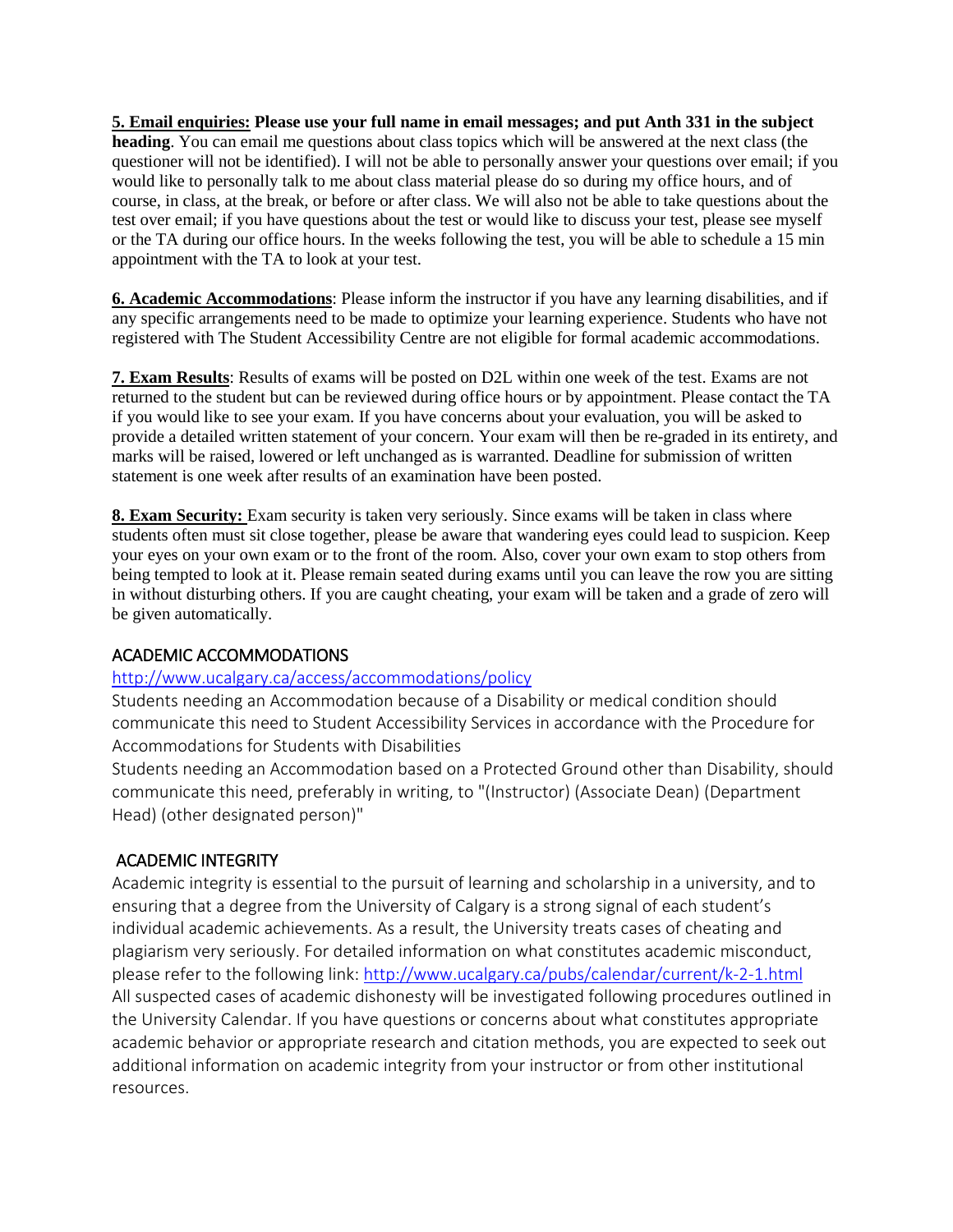**5. Email enquiries: Please use your full name in email messages; and put Anth 331 in the subject heading**. You can email me questions about class topics which will be answered at the next class (the questioner will not be identified). I will not be able to personally answer your questions over email; if you would like to personally talk to me about class material please do so during my office hours, and of course, in class, at the break, or before or after class. We will also not be able to take questions about the test over email; if you have questions about the test or would like to discuss your test, please see myself or the TA during our office hours. In the weeks following the test, you will be able to schedule a 15 min appointment with the TA to look at your test.

**6. Academic Accommodations**: Please inform the instructor if you have any learning disabilities, and if any specific arrangements need to be made to optimize your learning experience. Students who have not registered with The Student Accessibility Centre are not eligible for formal academic accommodations.

**7. Exam Results**: Results of exams will be posted on D2L within one week of the test. Exams are not returned to the student but can be reviewed during office hours or by appointment. Please contact the TA if you would like to see your exam. If you have concerns about your evaluation, you will be asked to provide a detailed written statement of your concern. Your exam will then be re-graded in its entirety, and marks will be raised, lowered or left unchanged as is warranted. Deadline for submission of written statement is one week after results of an examination have been posted.

**8. Exam Security:** Exam security is taken very seriously. Since exams will be taken in class where students often must sit close together, please be aware that wandering eyes could lead to suspicion. Keep your eyes on your own exam or to the front of the room. Also, cover your own exam to stop others from being tempted to look at it. Please remain seated during exams until you can leave the row you are sitting in without disturbing others. If you are caught cheating, your exam will be taken and a grade of zero will be given automatically.

# ACADEMIC ACCOMMODATIONS

#### <http://www.ucalgary.ca/access/accommodations/policy>

Students needing an Accommodation because of a Disability or medical condition should communicate this need to Student Accessibility Services in accordance with the Procedure for Accommodations for Students with Disabilities

Students needing an Accommodation based on a Protected Ground other than Disability, should communicate this need, preferably in writing, to "(Instructor) (Associate Dean) (Department Head) (other designated person)"

# ACADEMIC INTEGRITY

Academic integrity is essential to the pursuit of learning and scholarship in a university, and to ensuring that a degree from the University of Calgary is a strong signal of each student's individual academic achievements. As a result, the University treats cases of cheating and plagiarism very seriously. For detailed information on what constitutes academic misconduct, please refer to the following link:<http://www.ucalgary.ca/pubs/calendar/current/k-2-1.html> All suspected cases of academic dishonesty will be investigated following procedures outlined in the University Calendar. If you have questions or concerns about what constitutes appropriate academic behavior or appropriate research and citation methods, you are expected to seek out additional information on academic integrity from your instructor or from other institutional resources.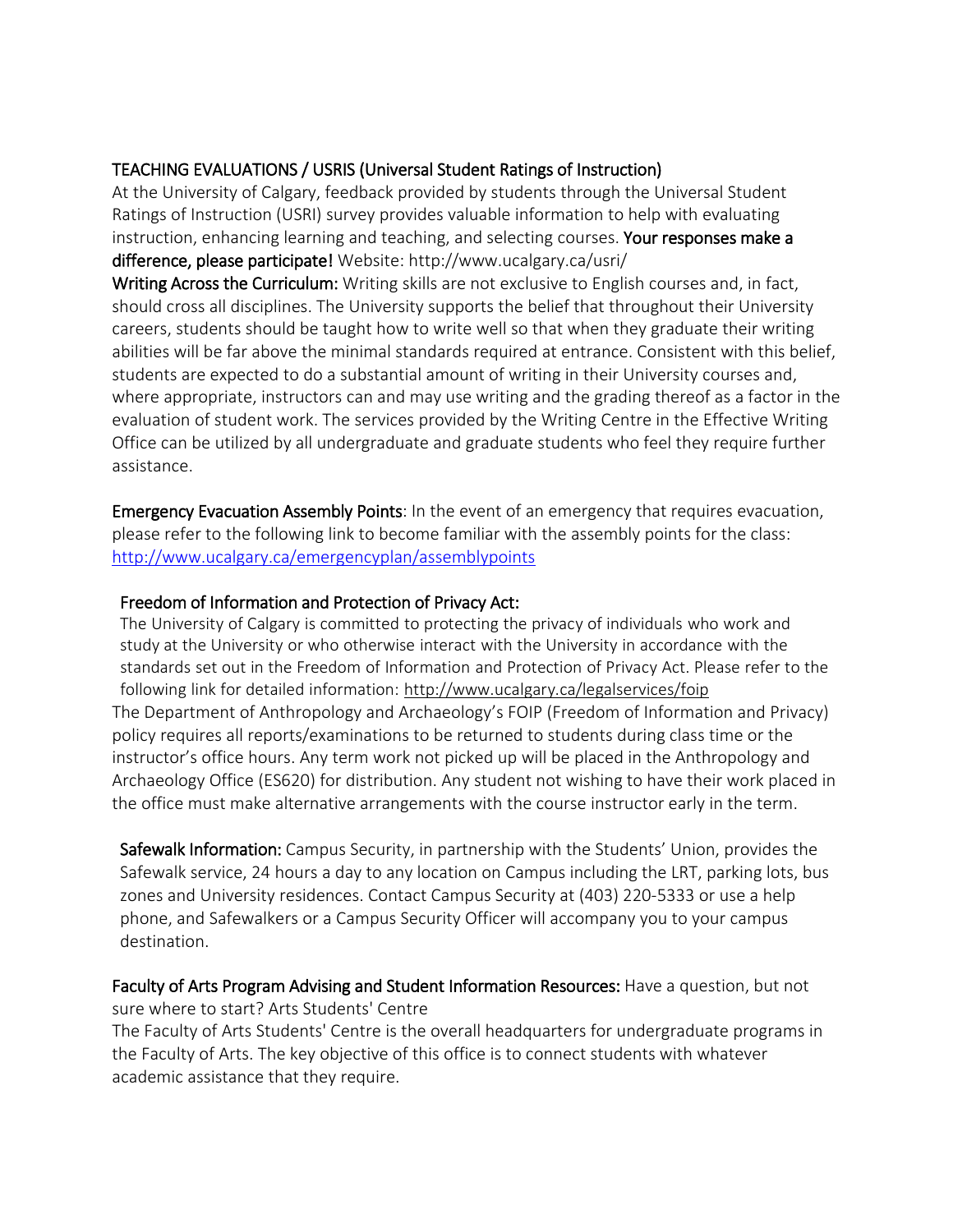# TEACHING EVALUATIONS / USRIS (Universal Student Ratings of Instruction)

At the University of Calgary, feedback provided by students through the Universal Student Ratings of Instruction (USRI) survey provides valuable information to help with evaluating instruction, enhancing learning and teaching, and selecting courses. Your responses make a difference, please participate! Website: http://www.ucalgary.ca/usri/

Writing Across the Curriculum: Writing skills are not exclusive to English courses and, in fact, should cross all disciplines. The University supports the belief that throughout their University careers, students should be taught how to write well so that when they graduate their writing abilities will be far above the minimal standards required at entrance. Consistent with this belief, students are expected to do a substantial amount of writing in their University courses and, where appropriate, instructors can and may use writing and the grading thereof as a factor in the evaluation of student work. The services provided by the Writing Centre in the Effective Writing Office can be utilized by all undergraduate and graduate students who feel they require further assistance.

Emergency Evacuation Assembly Points: In the event of an emergency that requires evacuation, please refer to the following link to become familiar with the assembly points for the class: <http://www.ucalgary.ca/emergencyplan/assemblypoints>

# Freedom of Information and Protection of Privacy Act:

The University of Calgary is committed to protecting the privacy of individuals who work and study at the University or who otherwise interact with the University in accordance with the standards set out in the Freedom of Information and Protection of Privacy Act. Please refer to the following link for detailed information: <http://www.ucalgary.ca/legalservices/foip> The Department of Anthropology and Archaeology's FOIP (Freedom of Information and Privacy) policy requires all reports/examinations to be returned to students during class time or the instructor's office hours. Any term work not picked up will be placed in the Anthropology and Archaeology Office (ES620) for distribution. Any student not wishing to have their work placed in the office must make alternative arrangements with the course instructor early in the term.

Safewalk Information: Campus Security, in partnership with the Students' Union, provides the Safewalk service, 24 hours a day to any location on Campus including the LRT, parking lots, bus zones and University residences. Contact Campus Security at (403) 220-5333 or use a help phone, and Safewalkers or a Campus Security Officer will accompany you to your campus destination.

Faculty of Arts Program Advising and Student Information Resources: Have a question, but not sure where to start? Arts Students' Centre

The Faculty of Arts Students' Centre is the overall headquarters for undergraduate programs in the Faculty of Arts. The key objective of this office is to connect students with whatever academic assistance that they require.